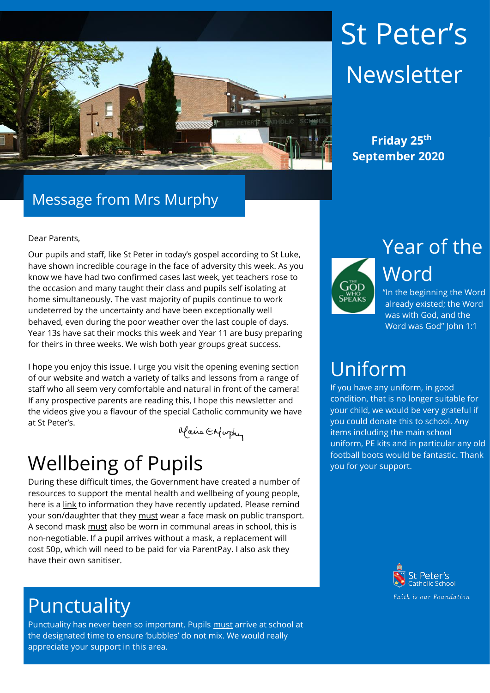

# St Peter's Newsletter

 **Friday 25th September 2020**

# Message from Mrs Murphy

### Dear Parents,

Our pupils and staff, like St Peter in today's gospel according to St Luke, have shown incredible courage in the face of adversity this week. As you know we have had two confirmed cases last week, yet teachers rose to the occasion and many taught their class and pupils self isolating at home simultaneously. The vast majority of pupils continue to work undeterred by the uncertainty and have been exceptionally well behaved, even during the poor weather over the last couple of days. Year 13s have sat their mocks this week and Year 11 are busy preparing for theirs in three weeks. We wish both year groups great success.

I hope you enjoy this issue. I urge you visit the opening evening section of our website and watch a variety of talks and lessons from a range of staff who all seem very comfortable and natural in front of the camera! If any prospective parents are reading this, I hope this newsletter and the videos give you a flavour of the special Catholic community we have at St Peter's.

Maire Enfurthy

# Wellbeing of Pupils

During these difficult times, the Government have created a number of resources to support the mental health and wellbeing of young people, here is a [link](https://www.gov.uk/government/publications/covid-19-guidance-on-supporting-children-and-young-peoples-mental-health-and-wellbeing?utm_source=2ecc7808-284c-4678-b5db-26dd9b2122b2&utm_medium=email&utm_campaign=govuk-notifications&utm_content=immediate) to information they have recently updated. Please remind your son/daughter that they must wear a face mask on public transport. A second mask must also be worn in communal areas in school, this is non-negotiable. If a pupil arrives without a mask, a replacement will cost 50p, which will need to be paid for via ParentPay. I also ask they have their own sanitiser.

# Punctuality

Punctuality has never been so important. Pupils must arrive at school at the designated time to ensure 'bubbles' do not mix. We would really appreciate your support in this area.



Year of the Word

"In the beginning the Word already existed; the Word was with God, and the Word was God" John 1:1

# Uniform

If you have any uniform, in good condition, that is no longer suitable for your child, we would be very grateful if you could donate this to school. Any items including the main school uniform, PE kits and in particular any old football boots would be fantastic. Thank you for your support.

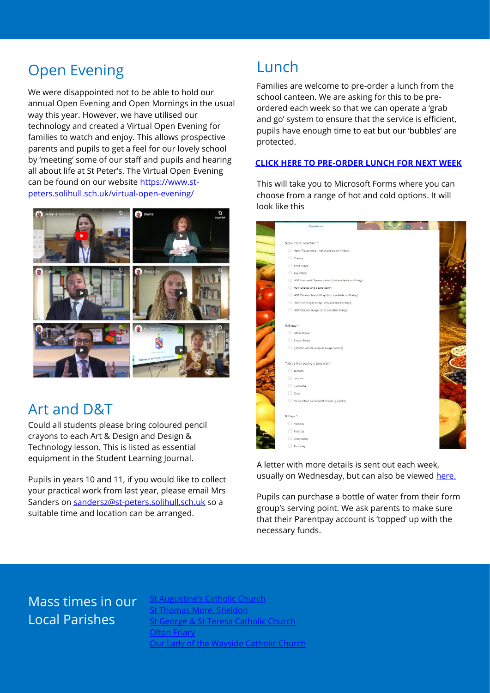# Open Evening The Lunch

We were disappointed not to be able to hold our annual Open Evening and Open Mornings in the usual way this year. However, we have utilised our technology and created a Virtual Open Evening for families to watch and enjoy. This allows prospective parents and pupils to get a feel for our lovely school by 'meeting' some of our staff and pupils and hearing all about life at St Peter's. The Virtual Open Evening can be found on our website [https://www.st](https://www.st-peters.solihull.sch.uk/virtual-open-evening/)[peters.solihull.sch.uk/virtual-open-evening/](https://www.st-peters.solihull.sch.uk/virtual-open-evening/)



## Art and D&T

Could all students please bring coloured pencil crayons to each Art & Design and Design & Technology lesson. This is listed as essential equipment in the Student Learning Journal.

Pupils in years 10 and 11, if you would like to collect your practical work from last year, please email Mrs Sanders on [sandersz@st-peters.solihull.sch.uk](mailto:sandersz@st-peters.solihull.sch.uk) so a suitable time and location can be arranged.

Families are welcome to pre-order a lunch from the school canteen. We are asking for this to be preordered each week so that we can operate a 'grab and go' system to ensure that the service is efficient, pupils have enough time to eat but our 'bubbles' are protected.

### **[CLICK HERE TO PRE-ORDER LUNCH FOR NEXT WEEK](https://forms.office.com/Pages/ResponsePage.aspx?id=WsZYFMHDIESQA-R2NHXE9sGWKd9gVAZLhvRethraXx5UOEtMNk1KSkoyNkJZNVM5TzdLN0ZMUUcwWS4u)**

This will take you to Microsoft Forms where you can choose from a range of hot and cold options. It will look like this



A letter with more details is sent out each week, usually on Wednesday, but can also be viewed [here.](file://///file03/staff%20share/St%20Joseph/September%202020/Letters/August/Lunch%20Pre-order%20letter%20for%2028th%20September%20-%202nd%20October.pdf)

Pupils can purchase a bottle of water from their form group's serving point. We ask parents to make sure that their Parentpay account is 'topped' up with the necessary funds.

## Mass times in our Local Parishes

[St Augustine's Catholic Church](https://www.staugustinesolihull.org.uk/welcome/mass-book-your-place/) homas More, Sheldon [St George & St Teresa Catholic Church](https://www.catholicchurch.dorridge.uk/) [Olton Friary](https://www.oltonfriary.org.uk/) [Our Lady of the Wayside Catholic Church](http://ourladyofthewaysidechurchshirley.co.uk/)